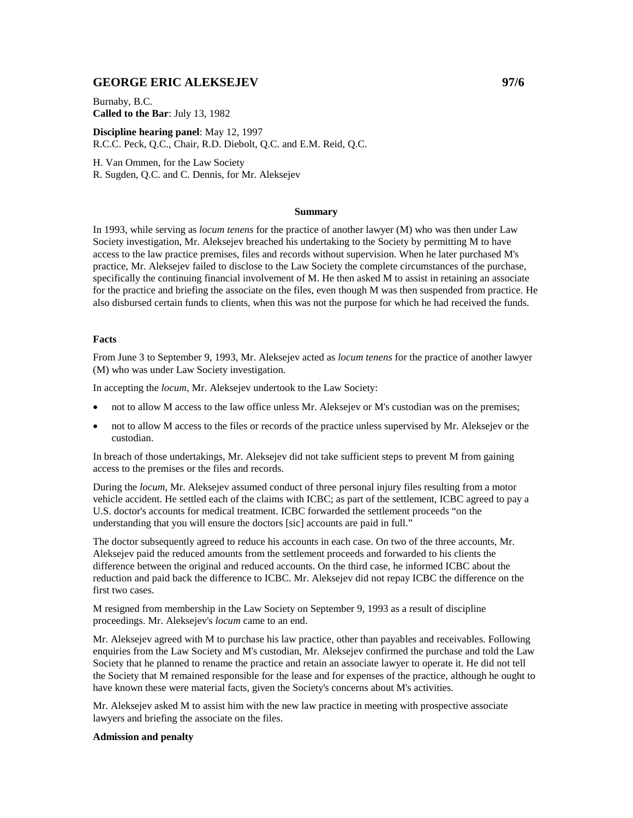## **GEORGE ERIC ALEKSEJEV 97/6**

Burnaby, B.C. **Called to the Bar**: July 13, 1982

**Discipline hearing panel**: May 12, 1997 R.C.C. Peck, Q.C., Chair, R.D. Diebolt, Q.C. and E.M. Reid, Q.C.

H. Van Ommen, for the Law Society R. Sugden, Q.C. and C. Dennis, for Mr. Aleksejev

## **Summary**

In 1993, while serving as *locum tenens* for the practice of another lawyer (M) who was then under Law Society investigation, Mr. Aleksejev breached his undertaking to the Society by permitting M to have access to the law practice premises, files and records without supervision. When he later purchased M's practice, Mr. Aleksejev failed to disclose to the Law Society the complete circumstances of the purchase, specifically the continuing financial involvement of M. He then asked M to assist in retaining an associate for the practice and briefing the associate on the files, even though M was then suspended from practice. He also disbursed certain funds to clients, when this was not the purpose for which he had received the funds.

## **Facts**

From June 3 to September 9, 1993, Mr. Aleksejev acted as *locum tenens* for the practice of another lawyer (M) who was under Law Society investigation.

In accepting the *locum*, Mr. Aleksejev undertook to the Law Society:

- not to allow M access to the law office unless Mr. Aleksejev or M's custodian was on the premises;
- not to allow M access to the files or records of the practice unless supervised by Mr. Aleksejev or the custodian.

In breach of those undertakings, Mr. Aleksejev did not take sufficient steps to prevent M from gaining access to the premises or the files and records.

During the *locum*, Mr. Aleksejev assumed conduct of three personal injury files resulting from a motor vehicle accident. He settled each of the claims with ICBC; as part of the settlement, ICBC agreed to pay a U.S. doctor's accounts for medical treatment. ICBC forwarded the settlement proceeds "on the understanding that you will ensure the doctors [sic] accounts are paid in full."

The doctor subsequently agreed to reduce his accounts in each case. On two of the three accounts, Mr. Aleksejev paid the reduced amounts from the settlement proceeds and forwarded to his clients the difference between the original and reduced accounts. On the third case, he informed ICBC about the reduction and paid back the difference to ICBC. Mr. Aleksejev did not repay ICBC the difference on the first two cases.

M resigned from membership in the Law Society on September 9, 1993 as a result of discipline proceedings. Mr. Aleksejev's *locum* came to an end.

Mr. Aleksejev agreed with M to purchase his law practice, other than payables and receivables. Following enquiries from the Law Society and M's custodian, Mr. Aleksejev confirmed the purchase and told the Law Society that he planned to rename the practice and retain an associate lawyer to operate it. He did not tell the Society that M remained responsible for the lease and for expenses of the practice, although he ought to have known these were material facts, given the Society's concerns about M's activities.

Mr. Aleksejev asked M to assist him with the new law practice in meeting with prospective associate lawyers and briefing the associate on the files.

## **Admission and penalty**